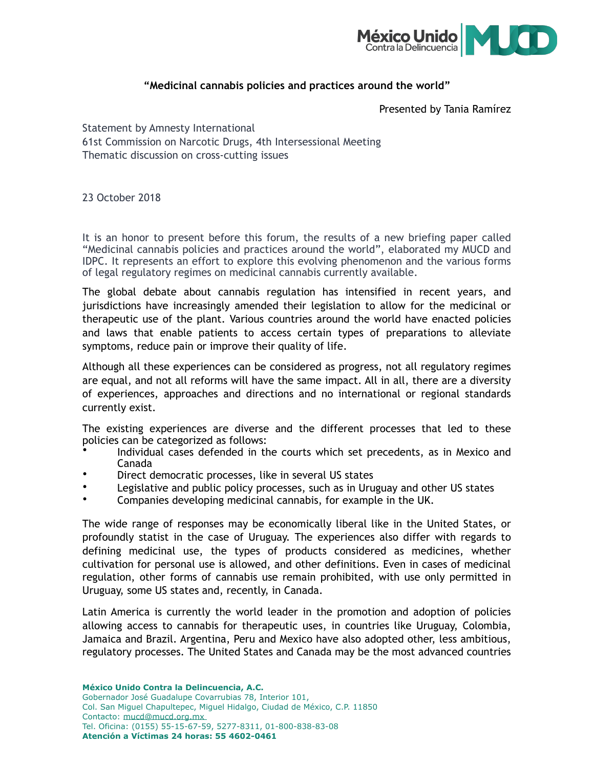

## **"Medicinal cannabis policies and practices around the world"**

Presented by Tania Ramírez

Statement by Amnesty International 61st Commission on Narcotic Drugs, 4th Intersessional Meeting Thematic discussion on cross-cutting issues

23 October 2018

It is an honor to present before this forum, the results of a new briefing paper called "Medicinal cannabis policies and practices around the world", elaborated my MUCD and IDPC. It represents an effort to explore this evolving phenomenon and the various forms of legal regulatory regimes on medicinal cannabis currently available.

The global debate about cannabis regulation has intensified in recent years, and jurisdictions have increasingly amended their legislation to allow for the medicinal or therapeutic use of the plant. Various countries around the world have enacted policies and laws that enable patients to access certain types of preparations to alleviate symptoms, reduce pain or improve their quality of life.

Although all these experiences can be considered as progress, not all regulatory regimes are equal, and not all reforms will have the same impact. All in all, there are a diversity of experiences, approaches and directions and no international or regional standards currently exist.

The existing experiences are diverse and the different processes that led to these policies can be categorized as follows:

- Individual cases defended in the courts which set precedents, as in Mexico and Canada
- Direct democratic processes, like in several US states
- Legislative and public policy processes, such as in Uruguay and other US states
- Companies developing medicinal cannabis, for example in the UK.

The wide range of responses may be economically liberal like in the United States, or profoundly statist in the case of Uruguay. The experiences also differ with regards to defining medicinal use, the types of products considered as medicines, whether cultivation for personal use is allowed, and other definitions. Even in cases of medicinal regulation, other forms of cannabis use remain prohibited, with use only permitted in Uruguay, some US states and, recently, in Canada.

Latin America is currently the world leader in the promotion and adoption of policies allowing access to cannabis for therapeutic uses, in countries like Uruguay, Colombia, Jamaica and Brazil. Argentina, Peru and Mexico have also adopted other, less ambitious, regulatory processes. The United States and Canada may be the most advanced countries

**México Unido Contra la Delincuencia, A.C.**  Gobernador José Guadalupe Covarrubias 78, Interior 101, Col. San Miguel Chapultepec, Miguel Hidalgo, Ciudad de México, C.P. 11850 Contacto: [mucd@mucd.org.mx](mailto:mucd@mucd.org.mx) 

Tel. Oficina: (0155) 55-15-67-59, 5277-8311, 01-800-838-83-08 **Atención a Víctimas 24 horas: 55 4602-0461**